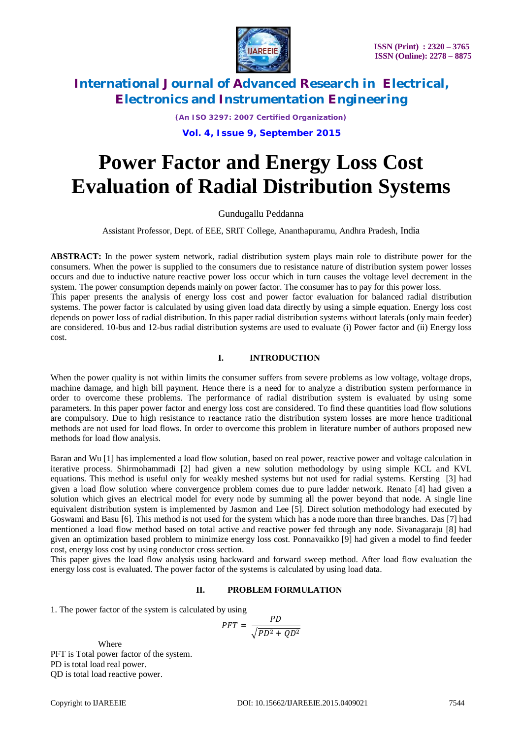

*(An ISO 3297: 2007 Certified Organization)*

## **Vol. 4, Issue 9, September 2015**

# **Power Factor and Energy Loss Cost Evaluation of Radial Distribution Systems**

#### Gundugallu Peddanna

Assistant Professor, Dept. of EEE, SRIT College, Ananthapuramu, Andhra Pradesh, India

**ABSTRACT:** In the power system network, radial distribution system plays main role to distribute power for the consumers. When the power is supplied to the consumers due to resistance nature of distribution system power losses occurs and due to inductive nature reactive power loss occur which in turn causes the voltage level decrement in the system. The power consumption depends mainly on power factor. The consumer has to pay for this power loss. This paper presents the analysis of energy loss cost and power factor evaluation for balanced radial distribution systems. The power factor is calculated by using given load data directly by using a simple equation. Energy loss cost depends on power loss of radial distribution. In this paper radial distribution systems without laterals (only main feeder) are considered. 10-bus and 12-bus radial distribution systems are used to evaluate (i) Power factor and (ii) Energy loss cost.

### **I. INTRODUCTION**

When the power quality is not within limits the consumer suffers from severe problems as low voltage, voltage drops, machine damage, and high bill payment. Hence there is a need for to analyze a distribution system performance in order to overcome these problems. The performance of radial distribution system is evaluated by using some parameters. In this paper power factor and energy loss cost are considered. To find these quantities load flow solutions are compulsory. Due to high resistance to reactance ratio the distribution system losses are more hence traditional methods are not used for load flows. In order to overcome this problem in literature number of authors proposed new methods for load flow analysis.

Baran and Wu [1] has implemented a load flow solution, based on real power, reactive power and voltage calculation in iterative process. Shirmohammadi [2] had given a new solution methodology by using simple KCL and KVL equations. This method is useful only for weakly meshed systems but not used for radial systems. Kersting [3] had given a load flow solution where convergence problem comes due to pure ladder network. Renato [4] had given a solution which gives an electrical model for every node by summing all the power beyond that node. A single line equivalent distribution system is implemented by Jasmon and Lee [5]. Direct solution methodology had executed by Goswami and Basu [6]. This method is not used for the system which has a node more than three branches. Das [7] had mentioned a load flow method based on total active and reactive power fed through any node. Sivanagaraju [8] had given an optimization based problem to minimize energy loss cost. Ponnavaikko [9] had given a model to find feeder cost, energy loss cost by using conductor cross section.

This paper gives the load flow analysis using backward and forward sweep method. After load flow evaluation the energy loss cost is evaluated. The power factor of the systems is calculated by using load data.

## **II. PROBLEM FORMULATION**

1. The power factor of the system is calculated by using

$$
PFT = \frac{PD}{\sqrt{PD^2 + QD^2}}
$$

Where PFT is Total power factor of the system. PD is total load real power. QD is total load reactive power.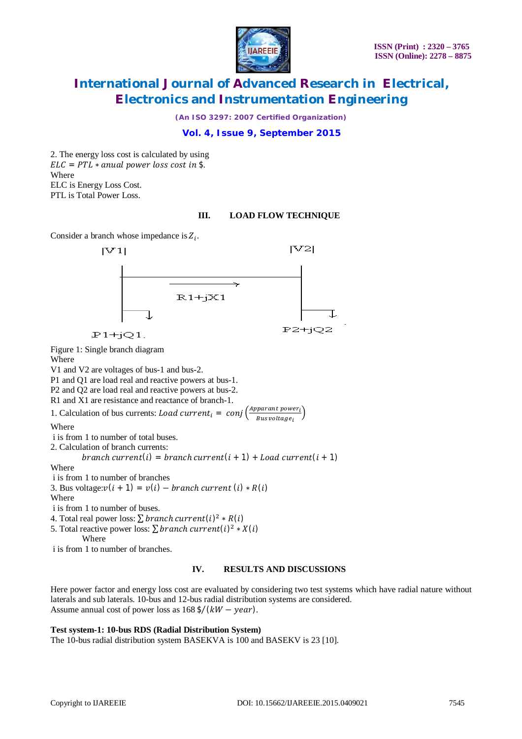

*(An ISO 3297: 2007 Certified Organization)*

# **Vol. 4, Issue 9, September 2015**

2. The energy loss cost is calculated by using  $ELC = PTL * anual power loss cost in $$ . Where ELC is Energy Loss Cost. PTL is Total Power Loss.

### **III. LOAD FLOW TECHNIQUE**

Consider a branch whose impedance is  $Z_i$ .



Figure 1: Single branch diagram

Where

V1 and V2 are voltages of bus-1 and bus-2.

P1 and Q1 are load real and reactive powers at bus-1.

P2 and Q2 are load real and reactive powers at bus-2.

R1 and X1 are resistance and reactance of branch-1.

1. Calculation of bus currents: Load current<sub>i</sub> = conj  $\left(\frac{Apparant power_i}{Burs voltage}\right)$ Bus voltage<sub>i</sub>)

Where

i is from 1 to number of total buses.

2. Calculation of branch currents:

branch current(i) = branch current(i + 1) + Load current(i + 1)

Where

i is from 1 to number of branches

3. Bus voltage: $v(i + 1) = v(i) - branch current(i) * R(i)$ 

Where

i is from 1 to number of buses.

4. Total real power loss:  $\sum branch \ current(i)^2 * R(i)$ 

5. Total reactive power loss:  $\sum branch \ current(i)^2 * X(i)$ 

Where

i is from 1 to number of branches.

### **IV. RESULTS AND DISCUSSIONS**

Here power factor and energy loss cost are evaluated by considering two test systems which have radial nature without laterals and sub laterals. 10-bus and 12-bus radial distribution systems are considered. Assume annual cost of power loss as  $168 \frac{\xi}{(kW - year)}$ .

# **Test system-1: 10-bus RDS (Radial Distribution System)**

The 10-bus radial distribution system BASEKVA is 100 and BASEKV is 23 [10].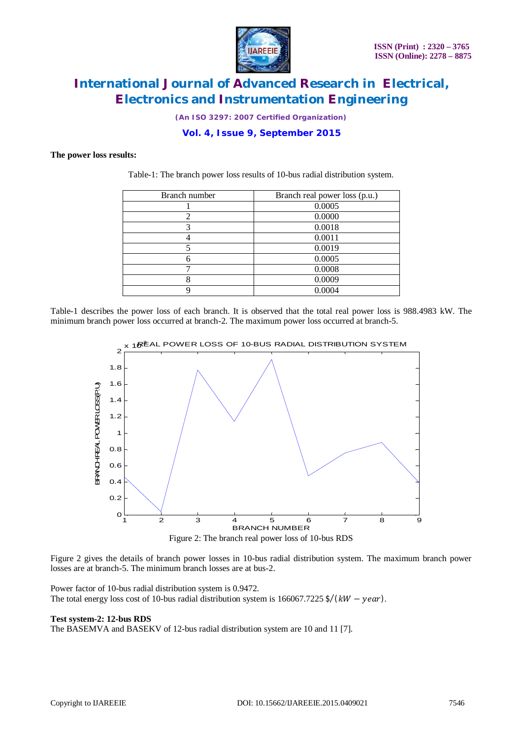

*(An ISO 3297: 2007 Certified Organization)*

# **Vol. 4, Issue 9, September 2015**

#### **The power loss results:**

Table-1: The branch power loss results of 10-bus radial distribution system.

| Branch number               | Branch real power loss (p.u.) |
|-----------------------------|-------------------------------|
|                             | 0.0005                        |
| $\mathcal{D}_{\mathcal{L}}$ | 0.0000                        |
|                             | 0.0018                        |
|                             | 0.0011                        |
|                             | 0.0019                        |
|                             | 0.0005                        |
|                             | 0.0008                        |
|                             | 0.0009                        |
|                             | 0.0004                        |

Table-1 describes the power loss of each branch. It is observed that the total real power loss is 988.4983 kW. The minimum branch power loss occurred at branch-2. The maximum power loss occurred at branch-5.





Figure 2 gives the details of branch power losses in 10-bus radial distribution system. The maximum branch power losses are at branch-5. The minimum branch losses are at bus-2.

Power factor of 10-bus radial distribution system is 0.9472. The total energy loss cost of 10-bus radial distribution system is  $166067.7225$  \$/( $kW - year$ ).

#### **Test system-2: 12-bus RDS**

The BASEMVA and BASEKV of 12-bus radial distribution system are 10 and 11 [7].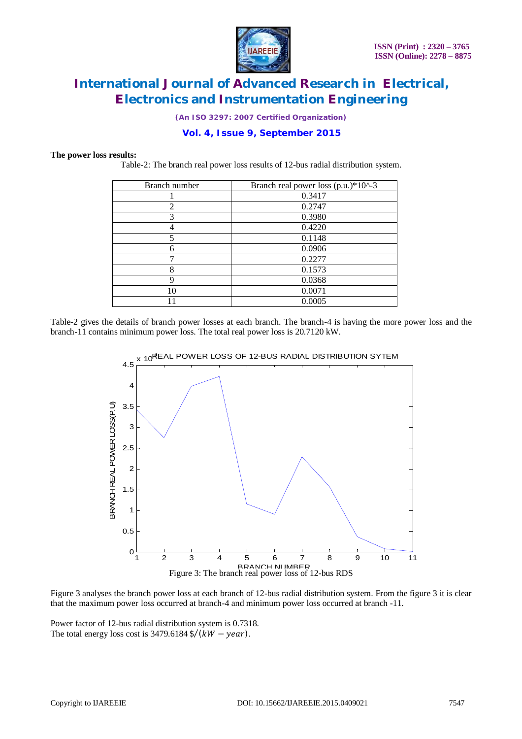

*(An ISO 3297: 2007 Certified Organization)*

# **Vol. 4, Issue 9, September 2015**

#### **The power loss results:**

Table-2: The branch real power loss results of 12-bus radial distribution system.

| Branch number  | Branch real power loss $(p.u.)*10^2-3$ |
|----------------|----------------------------------------|
|                | 0.3417                                 |
| $\mathfrak{D}$ | 0.2747                                 |
| 3              | 0.3980                                 |
|                | 0.4220                                 |
|                | 0.1148                                 |
| 6              | 0.0906                                 |
|                | 0.2277                                 |
| 8              | 0.1573                                 |
| 9              | 0.0368                                 |
| 10             | 0.0071                                 |
|                | 0.0005                                 |

Table-2 gives the details of branch power losses at each branch. The branch-4 is having the more power loss and the branch-11 contains minimum power loss. The total real power loss is 20.7120 kW.



<sub>X 10</sub>REAL POWER LOSS OF 12-BUS RADIAL DISTRIBUTION SYTEM

Figure 3 analyses the branch power loss at each branch of 12-bus radial distribution system. From the figure 3 it is clear that the maximum power loss occurred at branch-4 and minimum power loss occurred at branch -11.

Power factor of 12-bus radial distribution system is 0.7318. The total energy loss cost is  $3479.6184 \frac{1}{*(kW* - year)}$ .